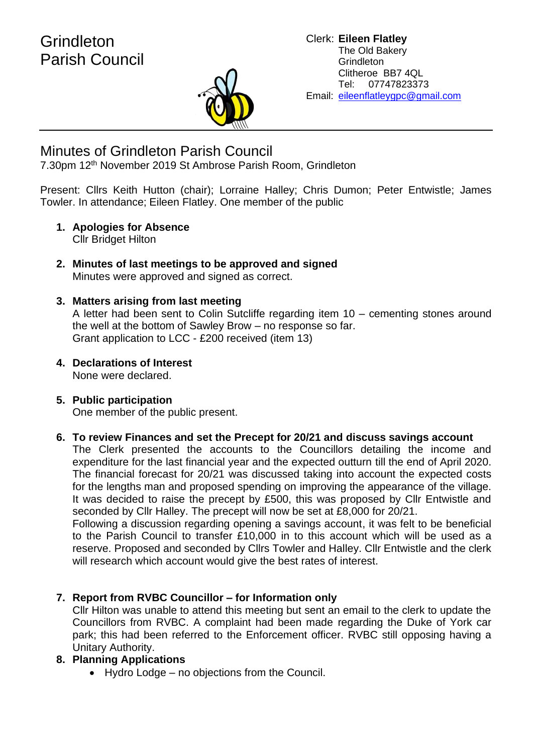

# Minutes of Grindleton Parish Council

7.30pm 12th November 2019 St Ambrose Parish Room, Grindleton

Present: Cllrs Keith Hutton (chair); Lorraine Halley; Chris Dumon; Peter Entwistle; James Towler. In attendance; Eileen Flatley. One member of the public

- **1. Apologies for Absence** Cllr Bridget Hilton
- **2. Minutes of last meetings to be approved and signed** Minutes were approved and signed as correct.

### **3. Matters arising from last meeting**

A letter had been sent to Colin Sutcliffe regarding item 10 – cementing stones around the well at the bottom of Sawley Brow – no response so far. Grant application to LCC - £200 received (item 13)

**4. Declarations of Interest** None were declared.

#### **5. Public participation** One member of the public present.

#### **6. To review Finances and set the Precept for 20/21 and discuss savings account** The Clerk presented the accounts to the Councillors detailing the income and expenditure for the last financial year and the expected outturn till the end of April 2020. The financial forecast for 20/21 was discussed taking into account the expected costs for the lengths man and proposed spending on improving the appearance of the village. It was decided to raise the precept by £500, this was proposed by Cllr Entwistle and seconded by Cllr Halley. The precept will now be set at £8,000 for 20/21.

Following a discussion regarding opening a savings account, it was felt to be beneficial to the Parish Council to transfer £10,000 in to this account which will be used as a reserve. Proposed and seconded by Cllrs Towler and Halley. Cllr Entwistle and the clerk will research which account would give the best rates of interest.

## **7. Report from RVBC Councillor – for Information only**

Cllr Hilton was unable to attend this meeting but sent an email to the clerk to update the Councillors from RVBC. A complaint had been made regarding the Duke of York car park; this had been referred to the Enforcement officer. RVBC still opposing having a Unitary Authority.

## **8. Planning Applications**

• Hydro Lodge – no objections from the Council.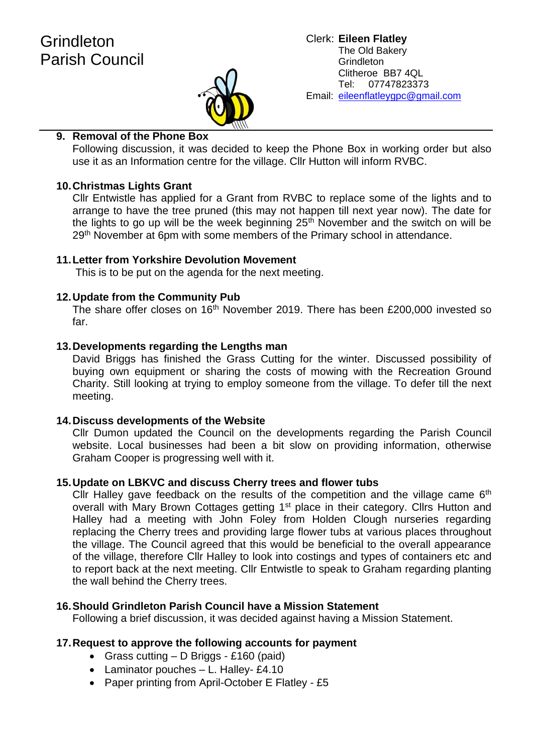

#### Clerk: **Eileen Flatley** The Old Bakery **Grindleton** Clitheroe BB7 4QL Tel: 07747823373 Email: eileenflatleygpc@gmail.com

### **9. Removal of the Phone Box**

Following discussion, it was decided to keep the Phone Box in working order but also use it as an Information centre for the village. Cllr Hutton will inform RVBC.

#### **10.Christmas Lights Grant**

Cllr Entwistle has applied for a Grant from RVBC to replace some of the lights and to arrange to have the tree pruned (this may not happen till next year now). The date for the lights to go up will be the week beginning  $25<sup>th</sup>$  November and the switch on will be 29<sup>th</sup> November at 6pm with some members of the Primary school in attendance.

#### **11.Letter from Yorkshire Devolution Movement**

This is to be put on the agenda for the next meeting.

#### **12.Update from the Community Pub**

The share offer closes on 16<sup>th</sup> November 2019. There has been £200,000 invested so far.

#### **13.Developments regarding the Lengths man**

David Briggs has finished the Grass Cutting for the winter. Discussed possibility of buying own equipment or sharing the costs of mowing with the Recreation Ground Charity. Still looking at trying to employ someone from the village. To defer till the next meeting.

#### **14.Discuss developments of the Website**

Cllr Dumon updated the Council on the developments regarding the Parish Council website. Local businesses had been a bit slow on providing information, otherwise Graham Cooper is progressing well with it.

#### **15.Update on LBKVC and discuss Cherry trees and flower tubs**

Cllr Halley gave feedback on the results of the competition and the village came  $6<sup>th</sup>$ overall with Mary Brown Cottages getting 1<sup>st</sup> place in their category. Cllrs Hutton and Halley had a meeting with John Foley from Holden Clough nurseries regarding replacing the Cherry trees and providing large flower tubs at various places throughout the village. The Council agreed that this would be beneficial to the overall appearance of the village, therefore Cllr Halley to look into costings and types of containers etc and to report back at the next meeting. Cllr Entwistle to speak to Graham regarding planting the wall behind the Cherry trees.

#### **16.Should Grindleton Parish Council have a Mission Statement**

Following a brief discussion, it was decided against having a Mission Statement.

#### **17.Request to approve the following accounts for payment**

- Grass cutting D Briggs £160 (paid)
- Laminator pouches L. Halley- £4.10
- Paper printing from April-October E Flatley £5